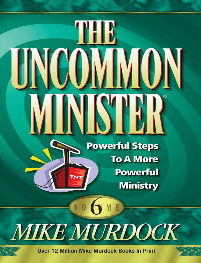# **THE** HNCO MON M VK'I R R

**Powerful Steps To A More Powerful Ministry** 



OGME

**Over 12 Million Mike Murdock Books In Print**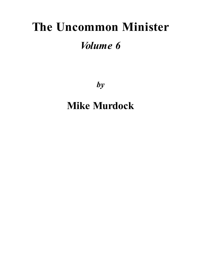# **The Uncommon Minister**

#### *Volume 6*

*by*

#### **Mike Murdock**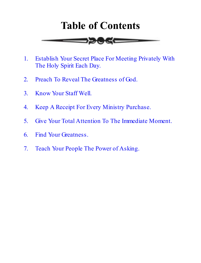### **Table of Contents**



- 1. Establish Your Secret Place For Meeting Privately With The Holy Spirit Each Day.
- 2. Preach To Reveal The Greatness of God.
- 3. Know Your Staff Well.
- 4. Keep A Receipt For Every Ministry Purchase.
- 5. Give Your Total Attention To The Immediate Moment.
- 6. Find Your Greatness.
- 7. Teach Your People The Power of Asking.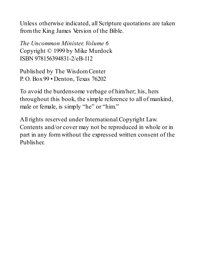Unless otherwise indicated, all Scripture quotations are taken fromthe King James Version of the Bible.

*The Uncommon Minister, Volume 6* Copyright © 1999 by Mike Murdock ISBN 978156394831-2/eB-112

Published by The WisdomCenter P. O. Box99 • Denton, Texas 76202

To avoid the burdensome verbage of him/her; his, hers throughout this book, the simple reference to all of mankind, male or female, is simply "he" or "him."

All rights reserved under International Copyright Law. Contents and/or cover may not be reproduced in whole or in part in any formwithout the expressed written consent of the Publisher.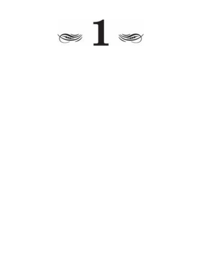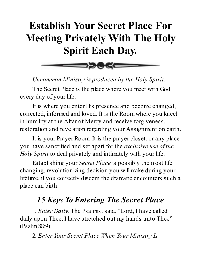## **Establish Your Secret Place For Meeting Privately With The Holy Spirit Each Day.**



*Uncommon Ministry is produced by the Holy Spirit.*

The Secret Place is the place where you meet with God every day of your life.

It is where you enter His presence and become changed, corrected, informed and loved. It is the Roomwhere you kneel in humility at the Altar of Mercy and receive forgiveness, restoration and revelation regarding your Assignment on earth.

It is your Prayer Room. It is the prayer closet, or any place you have sanctified and set apart for the *exclusive use of the Holy Spirit* to deal privately and intimately with your life.

Establishing your *Secret Place* is possibly the most life changing, revolutionizing decision you will make during your lifetime, if you correctly discern the dramatic encounters such a place can birth.

#### *15 Keys To Entering The Secret Place*

1*. Enter Daily.* The Psalmist said, "Lord, I have called daily upon Thee, I have stretched out my hands unto Thee" (Psalm88:9).

2*. Enter Your Secret Place When Your Ministry Is*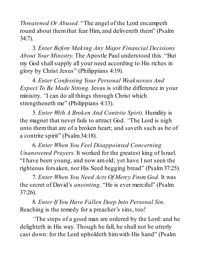*Threatened Or Abused.* "The angel of the Lord encampeth round about themthat fear Him, and delivereth them" (Psalm 34:7).

3*. Enter Before Making Any Major Financial Decisions About Your Ministry.* The Apostle Paul understood this. "But my God shallsupply all your need according to His riches in glory by Christ Jesus" (Philippians 4:19).

4*. Enter Confessing Your Personal Weaknesses And Expect To Be Made Strong.* Jesus is still the difference in your ministry. *"*I can do all things through Christ which strengtheneth me" (Philippians 4:13).

5*. Enter With A Broken And Contrite Spirit.* Humility is the magnet that never fails to attract God. *"*The Lord is nigh unto themthat are of a broken heart; and saveth such as be of a contrite spirit" (Psalm34:18).

6*. Enter When You Feel Disappointed Concerning Unanswered Prayers.* It worked for the greatest king of Israel. "I have been young, and now amold; yet have I not seen the righteous forsaken, nor His Seed begging bread" (Psalm37:25).

7*. Enter When You Need Acts Of Mercy From God.* It was the secret of David's *anointing*. "He is ever merciful" (Psalm 37:26).

8*. Enter If You Have Fallen Deep Into Personal Sin.* Reaching is the remedy for a preacher's sins, too!

*"*The steps of a good man are ordered by the Lord: and he delighteth in His way. Though he fall, he shall not be utterly cast down: for the Lord upholdeth himwith His hand" (Psalm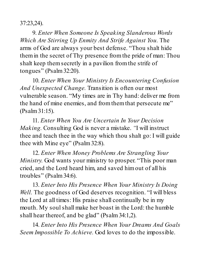37:23,24).

9. *Enter When Someone Is Speaking Slanderous Words Which Are Stirring Up Enmity And Strife Against You.* The arms of God are always your best defense. "Thou shalt hide themin the secret of Thy presence fromthe pride of man: Thou shalt keep themsecretly in a pavilion fromthe strife of tongues" (Psalm32:20).

10. *Enter When Your Ministry Is Encountering Confusion And Unexpected Change.* Transition is often our most vulnerable season. "My times are in Thy hand: deliver me from the hand of mine enemies, and fromthemthat persecute me" (Psalm31:15).

11. *Enter When You Are Uncertain In Your Decision Making.* Consulting God is never a mistake. *"*I will instruct thee and teach thee in the way which thou shalt go: I will guide thee with Mine eye" (Psalm32:8).

12. *Enter When Money Problems Are Strangling Your Ministry.* God wants your ministry to prosper. "This poor man cried, and the Lord heard him, and saved himout of all his troubles" (Psalm34:6).

13. *Enter Into His Presence When Your Ministry Is Doing Well.* The goodness of God deserves recognition. "I will bless the Lord at all times: His praise shall continually be in my mouth. My soulshall make her boast in the Lord: the humble shall hear thereof, and be glad" (Psalm34:1,2).

14. *Enter Into His Presence When Your Dreams And Goals Seem Impossible To Achieve.* God loves to do the impossible.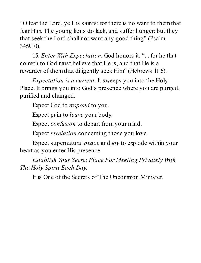"O fear the Lord, ye His saints: for there is no want to themthat fear Him. The young lions do lack, and suffer hunger: but they that seek the Lord shall not want any good thing" (Psalm 34:9,10).

15. *Enter With Expectation.* God honors it. "... for he that cometh to God must believe that He is, and that He is a rewarder of themthat diligently seek Him" (Hebrews 11:6).

*Expectation is a current.* It sweeps you into the Holy Place. It brings you into God's presence where you are purged, purified and changed.

Expect God to *respond* to you.

Expect pain to *leave* your body.

Expect *confusion* to depart fromyour mind.

Expect *revelation* concerning those you love.

Expect supernatural *peace* and *joy* to explode within your heart as you enter His presence.

*Establish Your Secret Place For Meeting Privately With The Holy Spirit Each Day.*

It is One of the Secrets of The Uncommon Minister.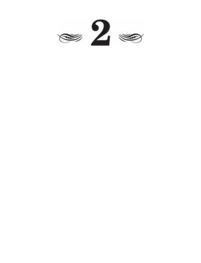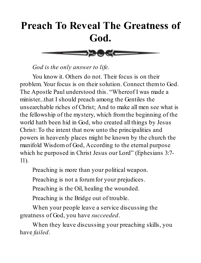### **Preach To Reveal The Greatness of God.**



*God is the only answer to life.*

You know it. Others do not. Their focus is on their problem. Your focus is on their solution. Connect themto God. The Apostle Paul understood this. "Whereof I was made a minister...that I should preach among the Gentiles the unsearchable riches of Christ; And to make all men see what is the fellowship of the mystery, which fromthe beginning of the world hath been hid in God, who created all things by Jesus Christ: To the intent that now unto the principalities and powers in heavenly places might be known by the church the manifold Wisdomof God, According to the eternal purpose which he purposed in Christ Jesus our Lord" (Ephesians 3:7- 11).

Preaching is more than your political weapon.

Preaching is not a forum for your prejudices.

Preaching is the Oil, healing the wounded.

Preaching is the Bridge out of trouble.

When your people leave a service discussing the greatness of God, you have *succeeded*.

When they leave discussing your preaching skills, you have *failed*.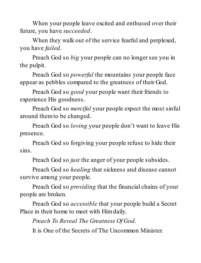When your people leave excited and enthused over their future, you have *succeeded*.

When they walk out of the service fearful and perplexed. you have *failed*.

Preach God so *big* your people can no longer see you in the pulpit.

Preach God so *powerful* the mountains your people face appear as pebbles compared to the greatness of their God.

Preach God so *good* your people want their friends to experience His goodness.

Preach God so *merciful* your people expect the most sinful around themto be changed.

Preach God so *loving* your people don't want to leave His presence.

Preach God so forgiving your people refuse to hide their sins.

Preach God so *just* the anger of your people subsides.

Preach God so *healing* that sickness and disease cannot survive among your people.

Preach God so *providing* that the financial chains of your people are broken*.*

Preach God so *accessible* that your people build a Secret Place in their home to meet with Himdaily.

*Preach To Reveal The Greatness Of God*.

It is One of the Secrets of The Uncommon Minister.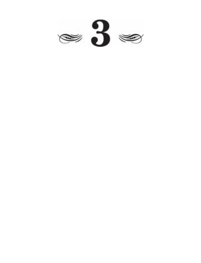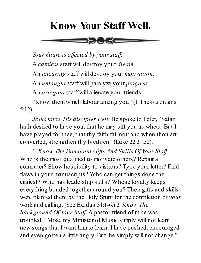#### **Know Your Staff Well.**

**BOCC** 

*Your future is af ected by your staf .* A *careless* staff will destroy your *dream*. An *uncaring* staff will destroy your *motivation*.

An *untaught* staff will paralyze your *progress*.

An *arrogant* staff will alienate your friends.

"Know themwhich labour among you" (1 Thessalonians 5:12).

*Jesus knew His disciples well*. He spoke to Peter, "Satan hath desired to have you, that he may sift you as wheat: But I have prayed for thee, that thy faith fail not: and when thou art converted, strengthen thy brethren" (Luke 22:31,32).

1*. Know The Dominant Gifts And Skills Of Your Staf .* Who is the most qualified to motivate others? Repair a computer? Show hospitality to visitors? Type your letter? Find flaws in your manuscripts? Who can get things done the easiest? Who has leadership skills? Whose loyalty keeps everything bonded together around you? Their gifts and skills were planted there by the Holy Spirit for the completion of *your* work and calling. (See Exodus 31:1-6.) 2*. Know The Background Of Your Staf .* A pastor friend of mine was troubled. "Mike, my Minister of Music simply will not learn new songs that I want himto learn. I have pushed, encouraged and even gotten a little angry. But, he simply will not change."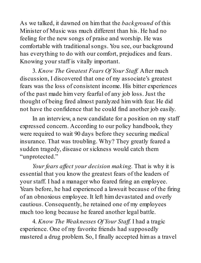As we talked, it dawned on himthat the *background* of this Minister of Music was much different than his. He had no feeling for the new songs of praise and worship. He was comfortable with traditionalsongs. You see, our background has everything to do with our comfort, prejudices and fears. Knowing your staff is vitally important.

3. *Know The Greatest Fears Of Your Staf .* After much discussion, I discovered that one of my associate's greatest fears was the loss of consistent income. His bitter experiences of the past made himvery fearful of any job loss. Just the thought of being fired almost paralyzed himwith fear. He did not have the confidence that he could find another job easily.

In an interview, a new candidate for a position on my staff expressed concern. According to our policy handbook, they were required to wait 90 days before they securing medical insurance. That was troubling. Why? They greatly feared a sudden tragedy, disease or sickness would catch them "unprotected."

*Your fears af ect your decision making.* That is why it is essential that you know the greatest fears of the leaders of your staff. I had a manager who feared firing an employee. Years before, he had experienced a lawsuit because of the firing of an obnoxious employee. It left himdevastated and overly cautious. Consequently, he retained one of my employees much too long because he feared another legal battle.

4. *Know The Weaknesses Of Your Staf .* I had a tragic experience. One of my favorite friends had supposedly mastered a drug problem. So, I finally accepted himas a travel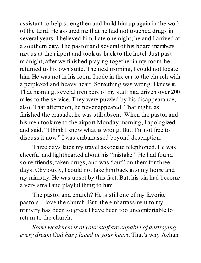assistant to help strengthen and build himup again in the work of the Lord. He assured me that he had not touched drugs in several years. I believed him. Late one night, he and I arrived at a southern city. The pastor and several of his board members met us at the airport and took us back to the hotel. Just past midnight, after we finished praying together in my room, he returned to his own suite. The next morning, I could not locate him. He was not in his room. I rode in the car to the church with a perplexed and heavy heart. Something was wrong. I knew it. That morning, several members of my staff had driven over 200 miles to the service. They were puzzled by his disappearance, also. That afternoon, he never appeared. That night, as I finished the crusade, he was still absent. When the pastor and his men took me to the airport Monday morning, I apologized and said, "I think I know what is wrong. But, I'mnot free to discuss it now." I was embarrassed beyond description.

Three days later, my travel associate telephoned. He was cheerful and lighthearted about his "mistake." He had found some friends, taken drugs, and was "out" on them for three days. Obviously, I could not take himback into my home and my ministry. He was upset by this fact. But, his sin had become a very small and playful thing to him.

The pastor and church? He is still one of my favorite pastors. I love the church. But, the embarrassment to my ministry has been so great I have been too uncomfortable to return to the church.

*Some weaknesses of your staf are capable of destroying every dream God has placed in your heart*. That's why Achan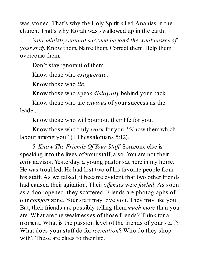was stoned. That's why the Holy Spirit killed Ananias in the church. That's why Korah was swallowed up in the earth.

*Your ministry cannot succeed beyond the weaknesses of your staff.* Know them. Name them. Correct them. Help them overcome them.

Don't stay ignorant of them.

Know those who *exaggerate*.

Know those who *lie*.

Know those who speak *disloyalty* behind your back.

Know those who are *envious* of your success as the leader.

Know those who will pour out their life for you.

Know those who truly *work* for you. "Know themwhich labour among you" (1 Thessalonians 5:12).

5. *Know The Friends Of Your Staf .* Someone else is speaking into the lives of your staff, also. You are not their *only* advisor. Yesterday, a young pastor sat here in my home. He was troubled. He had lost two of his favorite people from his staff. As we talked, it became evident that two other friends had caused their agitation. Their *offenses* were *fueled*. As soon as a door opened, they scattered. Friends are photographs of our *comfort* zone. Your staff may love you. They may like you. But, their friends are possibly telling them*much more* than you are. What are the weaknesses of those friends? Think for a moment. What is the passion level of the friends of your staff? What does your staff do for *recreation*? Who do they shop with? These are clues to their life.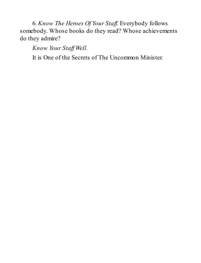6. *Know The Heroes Of Your Staf .* Everybody follows somebody. Whose books do they read? Whose achievements do they admire?

*Know Your Staf Well.*

It is One of the Secrets of The Uncommon Minister.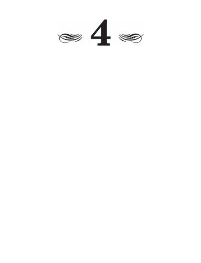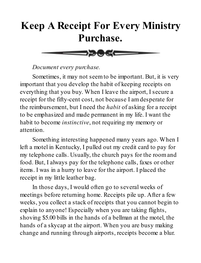#### **Keep A Receipt For Every Ministry Purchase.**



*Document every purchase.*

Sometimes, it may not seemto be important. But, it is very important that you develop the habit of keeping receipts on everything that you buy. When I leave the airport, I secure a receipt for the fifty-cent cost, not because I amdesperate for the reimbursement, but I need the *habit* of asking for a receipt to be emphasized and made permanent in my life. I want the habit to become *instinctive*, not requiring my memory or attention.

Something interesting happened many years ago. When I left a motel in Kentucky, I pulled out my credit card to pay for my telephone calls. Usually, the church pays for the roomand food. But, I always pay for the telephone calls, faxes or other items. I was in a hurry to leave for the airport. I placed the receipt in my little leather bag.

In those days, I would often go to several weeks of meetings before returning home. Receipts pile up. After a few weeks, you collect a stack of receipts that you cannot begin to explain to anyone! Especially when you are taking flights, shoving \$5.00 bills in the hands of a bellman at the motel, the hands of a skycap at the airport. When you are busy making change and running through airports, receipts become a blur.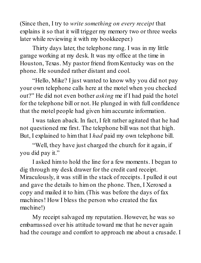(Since then, I try to *write something on every receipt* that explains it so that it will trigger my memory two or three weeks later while reviewing it with my bookkeeper.)

Thirty days later, the telephone rang. I was in my little garage working at my desk. It was my office at the time in Houston, Texas. My pastor friend fromKentucky was on the phone. He sounded rather distant and cool.

"Hello, Mike? I just wanted to know why you did not pay your own telephone calls here at the motel when you checked out?" He did not even bother *asking* me if I had paid the hotel for the telephone bill or not. He plunged in with full confidence that the motel people had given himaccurate information.

I was taken aback. In fact, I felt rather agitated that he had not questioned me first. The telephone bill was not that high. But, I explained to himthat I *had* paid my own telephone bill.

"Well, they have just charged the church for it again, if you did pay it."

I asked himto hold the line for a few moments. I began to dig through my desk drawer for the credit card receipt. Miraculously, it was still in the stack of receipts. I pulled it out and gave the details to himon the phone. Then, I Xeroxed a copy and mailed it to him. (This was before the days of fax machines! How I bless the person who created the fax machine!)

My receipt salvaged my reputation. However, he was so embarrassed over his attitude toward me that he never again had the courage and comfort to approach me about a crusade. I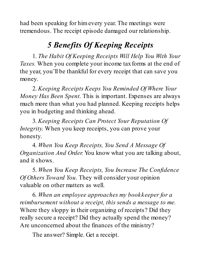had been speaking for himevery year. The meetings were tremendous. The receipt episode damaged our relationship.

#### *5 Benefits Of Keeping Receipts*

1. *The Habit Of Keeping Receipts Will Help You With Your Taxes.* When you complete your income taxforms at the end of the year, you'll be thankful for every receipt that can save you money.

2. *Keeping Receipts Keeps You Reminded Of Where Your Money Has Been Spent.* This is important. Expenses are always much more than what you had planned. Keeping receipts helps you in budgeting and thinking ahead.

3. *Keeping Receipts Can Protect Your Reputation Of Integrity.* When you keep receipts, you can prove your honesty.

4. *When You Keep Receipts, You Send A Message Of Organization And Order.* You know what you are talking about, and it shows.

5. *When You Keep Receipts, You Increase The Confidence Of Others Toward You.* They will consider your opinion valuable on other matters as well.

6. *When an employee approaches my bookkeeper for a reimbursement without a receipt, this sends a message to me.* Where they sloppy in their organizing of receipts? Did they really secure a receipt? Did they actually spend the money? Are unconcerned about the finances of the ministry?

The answer? Simple. Get a receipt.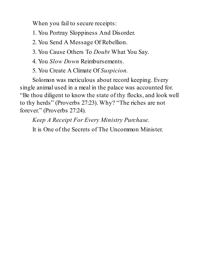When you fail to secure receipts:

- 1. You Portray Sloppiness And Disorder.
- 2. You Send A Message Of Rebellion.
- 3. You Cause Others To *Doubt* What You Say.
- 4. You *Slow Down* Reimbursements.
- 5. You Create A Climate Of *Suspicion.*

Solomon was meticulous about record keeping. Every single animal used in a meal in the palace was accounted for. "Be thou diligent to know the state of thy flocks, and look well to thy herds" (Proverbs 27:23). Why? "The riches are not forever." (Proverbs 27:24).

*Keep A Receipt For Every Ministry Purchase.*

It is One of the Secrets of The Uncommon Minister.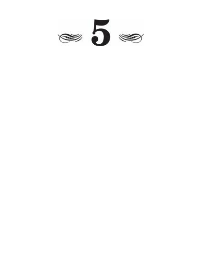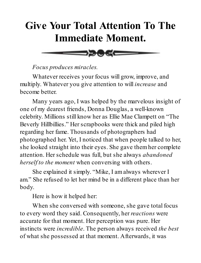#### **Give Your Total Attention To The Immediate Moment.**



#### *Focus produces miracles.*

Whatever receives your focus will grow, improve, and multiply. Whatever you give attention to will *increase* and become better.

Many years ago, I was helped by the marvelous insight of one of my dearest friends, Donna Douglas, a well-known celebrity. Millions still know her as Ellie Mae Clampett on "The Beverly Hillbillies." Her scrapbooks were thick and piled high regarding her fame. Thousands of photographers had photographed her. Yet, I noticed that when people talked to her, she looked straight into their eyes. She gave themher complete attention. Her schedule was full, but she always *abandoned herself to the moment* when conversing with others.

She explained it simply. "Mike, I amalways wherever I am." She refused to let her mind be in a different place than her body.

Here is how it helped her:

When she conversed with someone, she gave total focus to every word they said. Consequently, her *reactions* were accurate for that moment. Her perception was pure. Her instincts were *incredible*. The person always received *the best* of what she possessed at that moment. Afterwards, it was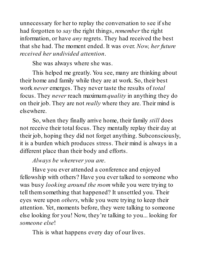unnecessary for her to replay the conversation to see if she had forgotten to *say* the right things, *remember* the right information, or have *any* regrets. They had received the best that she had. The moment ended. It was over. *Now, her future received her undivided attention*.

She was always where she was.

This helped me greatly. You see, many are thinking about their home and family while they are at work. So, their best work *never* emerges. They never taste the results of *total* focus. They *never* reach maximum*quality* in anything they do on their job. They are not *really* where they are. Their mind is elsewhere.

So, when they finally arrive home, their family *still* does not receive their total focus. They mentally replay their day at their job, hoping they did not forget anything. Subconsciously, it is a burden which produces stress. Their mind is always in a different place than their body and efforts.

*Always be wherever you are*.

Have you ever attended a conference and enjoyed fellowship with others? Have you ever talked to someone who was busy *looking around the room* while you were trying to tell themsomething that happened? It unsettled you. Their eyes were upon *others*, while you were trying to keep their attention. Yet, moments before, they were talking to someone else looking for you! Now, they're talking to you... looking for *someone else*!

This is what happens every day of our lives.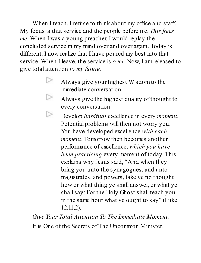When I teach, I refuse to think about my office and staff. My focus is that service and the people before me. *This frees me*. When I was a young preacher, I would replay the concluded service in my mind over and over again. Today is different. I now realize that I have poured my best into that service. When I leave, the service is *over*. Now, I amreleased to give total attention *to my future.*

 $\triangleright$ 

 $\triangleright$ Always give your highest Wisdomto the immediate conversation.  $\triangleright$ 

Always give the highest quality of thought to every conversation.

Develop *habitual* excellence in every *moment.* Potential problems will then not worry you. You have developed excellence *with each moment*. Tomorrow then becomes another performance of excellence, *which you have been practicing* every moment of today. This explains why Jesus said, "And when they bring you unto the synagogues, and unto magistrates, and powers, take ye no thought how or what thing ye shall answer, or what ye shallsay: For the Holy Ghost shall teach you in the same hour what ye ought to say" (Luke  $12:11,2)$ .

*Give Your Total Attention To The Immediate Moment.*

It is One of the Secrets of The Uncommon Minister.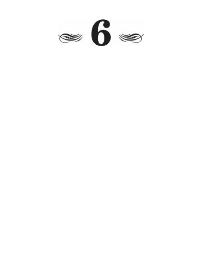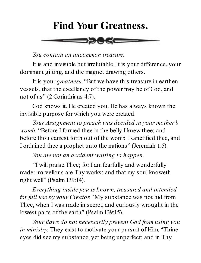#### **Find Your Greatness.**



*You contain an uncommon treasure.*

It is and invisible but irrefutable. It is your difference, your dominant gifting, and the magnet drawing others.

It is your *greatness*. "But we have this treasure in earthen vessels, that the excellency of the power may be of God, and not of us" (2 Corinthians 4:7).

God knows it. He created you. He has always known the invisible purpose for which you were created.

*Your Assignment to preach was decided in your mother's womb.* "Before I formed thee in the belly I knew thee; and before thou camest forth out of the womb I sanctified thee, and I ordained thee a prophet unto the nations" (Jeremiah 1:5).

*You are not an accident waiting to happen.*

*"*I will praise Thee; for I amfearfully and wonderfully made: marvellous are Thy works; and that my soul knoweth right well" (Psalm139:14).

*Everything inside you is known, treasured and intended for full use by your Creator.* "My substance was not hid from Thee, when I was made in secret, and curiously wrought in the lowest parts of the earth" (Psalm139:15).

*Your flaws do not necessarily prevent God from using you in ministry.* They exist to motivate your pursuit of Him. "Thine eyes did see my substance, yet being unperfect; and in Thy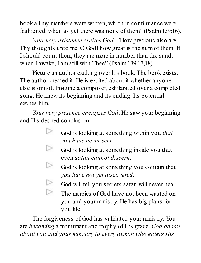book all my members were written, which in continuance were fashioned, when as yet there was none of them" (Psalm139:16).

*Your very existence excites God. "*How precious also are Thy thoughts unto me, O God! how great is the sumof them! If I should count them, they are more in number than the sand: when I awake, I amstill with Thee" (Psalm139:17,18).

Picture an author exulting over his book. The book exists. The author created it. He is excited about it whether anyone else is or not. Imagine a composer, exhilarated over a completed song. He knew its beginning and its ending. Its potential excites him.

*Your very presence energizes God*. He saw your beginning and His desired conclusion.

- $\triangleright$ God is looking at something within you *that you have never seen*.
- $\triangleright$ God is looking at something inside you that even s*atan cannot discern*.
- $\geq$ God is looking at something you contain that *you have not yet discovered*.
- $\triangleright$ 
	- God will tell you secrets satan will never hear.

 $\triangleright$ The mercies of God have not been wasted on you and your ministry. He has big plans for you life.

The forgiveness of God has validated your ministry. You are *becoming* a monument and trophy of His grace. *God boasts about you and your ministry to every demon who enters His*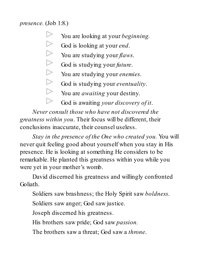#### *presence.* (Job 1:8.)

- ▷ You are looking at your *beginning.*
- $\triangleright$ God is looking at your *end*.
- $\geq$ You are studying your *flaws*.
- $\triangleright$ God is studying your *future*.
- $\triangleright$ You are studying your *enemies*.
- God is studying your *eventuality*.
- $\triangleright$  You are *awaiting* your destiny.
- God is awaiting *your discovery of it*.

*Never consult those who have not discovered the greatness within you*. Their focus will be different, their conclusions inaccurate, their counsel useless.

*Stay in the presence of the One who created you.* You will never quit feeling good about yourself when you stay in His presence. He is looking at something He considers to be remarkable. He planted this greatness within you while you were yet in your mother's womb.

David discerned his greatness and willingly confronted Goliath.

Soldiers saw brashness; the Holy Spirit saw *boldness*.

Soldiers saw anger; God saw justice.

Joseph discerned his greatness.

His brothers saw pride; God saw *passion.*

The brothers saw a threat; God saw a *throne*.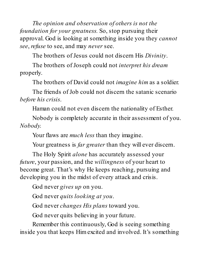*The opinion and observation of others is not the foundation for your greatness.* So, stop pursuing their approval. God is looking at something inside you they *cannot see*, *refuse* to see, and may *never* see.

The brothers of Jesus could not discern His *Divinity*.

The brothers of Joseph could not *interpret his dream* properly.

The brothers of David could not *imagine him* as a soldier.

The friends of Job could not discern the satanic scenario *before his crisis*.

Haman could not even discern the nationality of Esther.

Nobody is completely accurate in their assessment of you. *Nobody.*

Your flaws are *much less* than they imagine.

Your greatness is *far greater* than they will ever discern.

The Holy Spirit *alone* has accurately assessed your *future*, your passion, and the *willingness* of your heart to become great. That's why He keeps reaching, pursuing and developing you in the midst of every attack and crisis.

God never *gives up* on you.

God never *quits looking at you*.

God never *changes His plans* toward you.

God never quits believing in your future.

Remember this continuously, God is seeing something inside you that keeps Himexcited and involved. It's something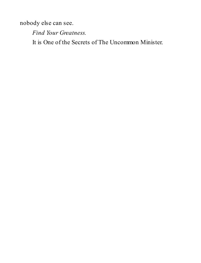nobody else can see.

*Find Your Greatness.*

It is One of the Secrets of The Uncommon Minister.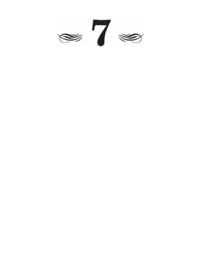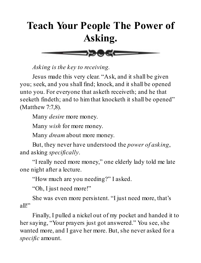## **Teach Your People The Power of Asking.**



*Asking is the key to receiving.*

Jesus made this very clear. "Ask, and it shall be given you; seek, and you shall find; knock, and it shall be opened unto you. For everyone that asketh receiveth; and he that seeketh findeth; and to him that knocketh it shall be opened" (Matthew 7:7,8).

Many *desire* more money.

Many *wish* for more money.

Many *dream* about more money.

But, they never have understood the *power of asking*, and asking *specifically*.

"I really need more money," one elderly lady told me late one night after a lecture.

"How much are you needing?" I asked.

"Oh, I just need more!"

She was even more persistent. "I just need more, that's all!"

Finally, I pulled a nickel out of my pocket and handed it to her saying, "Your prayers just got answered." You see, she wanted more, and I gave her more. But, she never asked for a *specific* amount.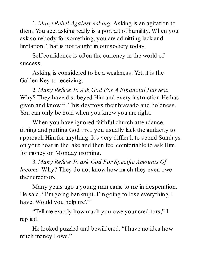1. *Many Rebel Against Asking*. Asking is an agitation to them. You see, asking really is a portrait of humility. When you ask somebody for something, you are admitting lack and limitation. That is not taught in our society today.

Self confidence is often the currency in the world of success.

Asking is considered to be a weakness. Yet, it is the Golden Key to receiving.

2. *Many Refuse To Ask God For A Financial Harvest.* Why? They have disobeyed Himand every instruction He has given and know it. This destroys their bravado and boldness. You can only be bold when you know you are right.

When you have ignored faithful church attendance. tithing and putting God first, you usually lack the audacity to approach Himfor anything. It's very difficult to spend Sundays on your boat in the lake and then feel comfortable to ask Him for money on Monday morning.

3. *Many Refuse To ask God For Specific Amounts Of Income.* Why? They do not know how much they even owe their creditors.

Many years ago a young man came to me in desperation. He said, "I'mgoing bankrupt. I'mgoing to lose everything I have. Would you help me?"

"Tell me exactly how much you owe your creditors," I replied.

He looked puzzled and bewildered. "I have no idea how much money I owe."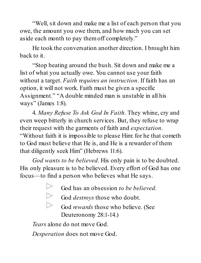"Well, sit down and make me a list of each person that you owe, the amount you owe them, and how much you can set aside each month to pay themoff completely."

He took the conversation another direction. I brought him back to it.

"Stop beating around the bush. Sit down and make me a list of what you actually owe. You cannot use your faith without a target. *Faith requires an instruction*. If faith has an option, it will not work. Faith must be given a specific Assignment." "A double minded man is unstable in all his ways" (James 1:8).

4. *Many Refuse To Ask God In Faith.* They whine, cry and even weep bitterly in church services. But, they refuse to wrap their request with the garments of faith and *expectation*. "Without faith it is impossible to please Him: for he that cometh to God must believe that He is, and He is a rewarder of them that diligently seek Him" (Hebrews 11:6).

*God wants to be believed.* His only pain is to be doubted. His only pleasure is to be believed. Every effort of God has one focus—to find a person who believes what He says.

- $\triangleright$ God has an obsession *to be believed.*
- God *destroys* those who doubt.
- $\geq$ God *rewards* those who believe. (See Deuteronomy 28:1-14.)

*Tears* alone do not move God.

*Desperation* does not move God.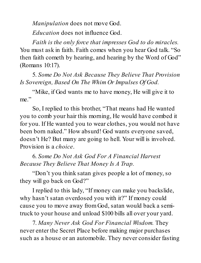*Manipulation* does not move God.

*Education* does not influence God.

*Faith is the only force that impresses God to do miracles.* You must ask in faith. Faith comes when you hear God talk. "So then faith cometh by hearing, and hearing by the Word of God" (Romans 10:17).

5. *Some Do Not Ask Because They Believe That Provision Is Sovereign, Based On The Whim Or Impulses Of God.*

"Mike, if God wants me to have money, He will give it to me"

So, I replied to this brother, "That means had He wanted you to comb your hair this morning, He would have combed it for you. If He wanted you to wear clothes, you would not have been born naked." How absurd! God wants everyone saved, doesn't He? But many are going to hell. Your will is involved. Provision is a *choice*.

6. *Some Do Not Ask God For A Financial Harvest Because They Believe That Money Is A Trap.*

"Don't you think satan gives people a lot of money, so they will go back on God?"

I replied to this lady, "If money can make you backslide, why hasn't satan overdosed you with it?" If money could cause you to move away fromGod, satan would back a semitruck to your house and unload \$100 bills all over your yard.

7. *Many Never Ask God For Financial Wisdom.* They never enter the Secret Place before making major purchases such as a house or an automobile. They never consider fasting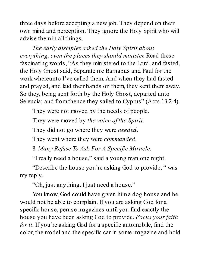three days before accepting a new job. They depend on their own mind and perception. They ignore the Holy Spirit who will advise themin all things.

*The early disciples asked the Holy Spirit about everything, even the places they should minister.* Read these fascinating words, "As they ministered to the Lord, and fasted, the Holy Ghost said, Separate me Barnabus and Paul for the work whereunto I've called them. And when they had fasted and prayed, and laid their hands on them, they sent themaway. So they, being sent forth by the Holy Ghost, departed unto Seleucia; and from thence they sailed to Cyprus" (Acts 13:2-4).

They were not moved by the needs of people.

They were moved by *the voice of the Spirit.*

They did not go where they were *needed*.

They went where they were *commanded*.

8. *Many Refuse To Ask For A Specific Miracle.*

"I really need a house," said a young man one night.

"Describe the house you're asking God to provide, " was my reply.

"Oh, just anything. I just need a house."

You know, God could have given hima dog house and he would not be able to complain. If you are asking God for a specific house, peruse magazines until you find exactly the house you have been asking God to provide. *Focus your faith for it.* If you're asking God for a specific automobile, find the color, the model and the specific car in some magazine and hold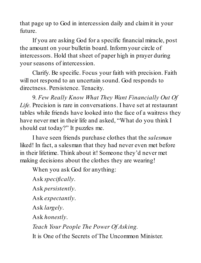that page up to God in intercession daily and claimit in your future.

If you are asking God for a specific financial miracle, post the amount on your bulletin board. Informyour circle of intercessors. Hold that sheet of paper high in prayer during your seasons of intercession.

Clarify. Be specific. Focus your faith with precision. Faith will not respond to an uncertain sound. God responds to directness. Persistence. Tenacity.

9. *Few Really Know What They Want Financially Out Of Life.* Precision is rare in conversations. I have set at restaurant tables while friends have looked into the face of a waitress they have never met in their life and asked, "What do you think I should eat today?" It puzzles me.

I have seen friends purchase clothes that the *salesman* liked! In fact, a salesman that they had never even met before in their lifetime. Think about it! Someone they'd never met making decisions about the clothes they are wearing!

When you ask God for anything:

Ask *specifically*. Ask *persistently*. Ask *expectantly*. Ask *largely*. Ask *honestly*. *Teach Your People The Power Of Asking.* It is One of the Secrets of The Uncommon Minister.